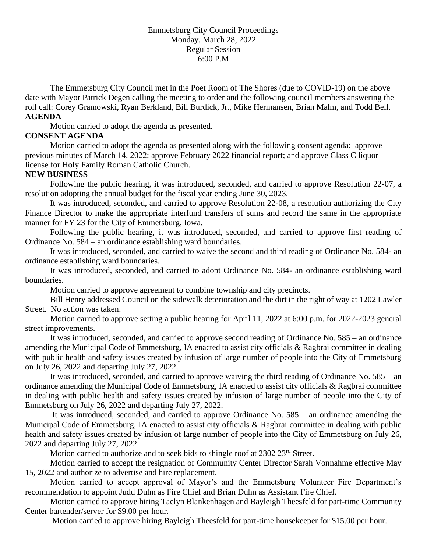## Emmetsburg City Council Proceedings Monday, March 28, 2022 Regular Session 6:00 P.M

The Emmetsburg City Council met in the Poet Room of The Shores (due to COVID-19) on the above date with Mayor Patrick Degen calling the meeting to order and the following council members answering the roll call: Corey Gramowski, Ryan Berkland, Bill Burdick, Jr., Mike Hermansen, Brian Malm, and Todd Bell. **AGENDA**

Motion carried to adopt the agenda as presented.

## **CONSENT AGENDA**

Motion carried to adopt the agenda as presented along with the following consent agenda: approve previous minutes of March 14, 2022; approve February 2022 financial report; and approve Class C liquor license for Holy Family Roman Catholic Church.

## **NEW BUSINESS**

Following the public hearing, it was introduced, seconded, and carried to approve Resolution 22-07, a resolution adopting the annual budget for the fiscal year ending June 30, 2023.

It was introduced, seconded, and carried to approve Resolution 22-08, a resolution authorizing the City Finance Director to make the appropriate interfund transfers of sums and record the same in the appropriate manner for FY 23 for the City of Emmetsburg, Iowa.

Following the public hearing, it was introduced, seconded, and carried to approve first reading of Ordinance No. 584 – an ordinance establishing ward boundaries.

It was introduced, seconded, and carried to waive the second and third reading of Ordinance No. 584- an ordinance establishing ward boundaries.

It was introduced, seconded, and carried to adopt Ordinance No. 584- an ordinance establishing ward boundaries.

Motion carried to approve agreement to combine township and city precincts.

Bill Henry addressed Council on the sidewalk deterioration and the dirt in the right of way at 1202 Lawler Street. No action was taken.

Motion carried to approve setting a public hearing for April 11, 2022 at 6:00 p.m. for 2022-2023 general street improvements.

It was introduced, seconded, and carried to approve second reading of Ordinance No. 585 – an ordinance amending the Municipal Code of Emmetsburg, IA enacted to assist city officials & Ragbrai committee in dealing with public health and safety issues created by infusion of large number of people into the City of Emmetsburg on July 26, 2022 and departing July 27, 2022.

It was introduced, seconded, and carried to approve waiving the third reading of Ordinance No. 585 – an ordinance amending the Municipal Code of Emmetsburg, IA enacted to assist city officials & Ragbrai committee in dealing with public health and safety issues created by infusion of large number of people into the City of Emmetsburg on July 26, 2022 and departing July 27, 2022.

It was introduced, seconded, and carried to approve Ordinance No. 585 – an ordinance amending the Municipal Code of Emmetsburg, IA enacted to assist city officials & Ragbrai committee in dealing with public health and safety issues created by infusion of large number of people into the City of Emmetsburg on July 26, 2022 and departing July 27, 2022.

Motion carried to authorize and to seek bids to shingle roof at 2302 23<sup>rd</sup> Street.

Motion carried to accept the resignation of Community Center Director Sarah Vonnahme effective May 15, 2022 and authorize to advertise and hire replacement.

Motion carried to accept approval of Mayor's and the Emmetsburg Volunteer Fire Department's recommendation to appoint Judd Duhn as Fire Chief and Brian Duhn as Assistant Fire Chief.

Motion carried to approve hiring Taelyn Blankenhagen and Bayleigh Theesfeld for part-time Community Center bartender/server for \$9.00 per hour.

Motion carried to approve hiring Bayleigh Theesfeld for part-time housekeeper for \$15.00 per hour.